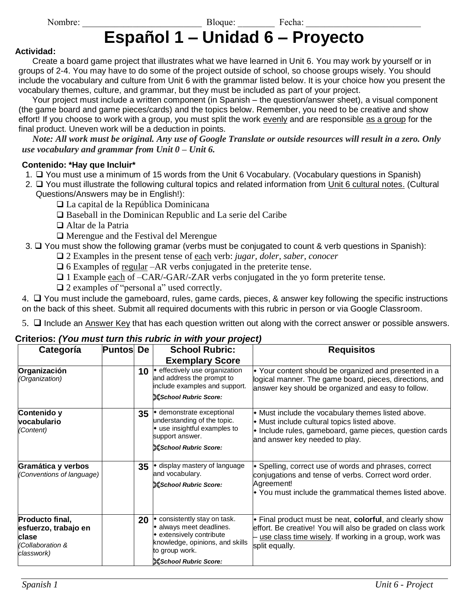Nombre: \_\_\_\_\_\_\_\_\_\_\_\_\_\_\_\_\_\_\_\_\_\_\_\_\_\_ Bloque: \_\_\_\_\_\_\_\_ Fecha: \_\_\_\_\_\_\_\_\_\_\_\_\_\_\_\_\_\_\_\_\_\_\_\_\_

# **Español 1 – Unidad 6 – Proyecto**

#### **Actividad:**

Create a board game project that illustrates what we have learned in Unit 6. You may work by yourself or in groups of 2-4. You may have to do some of the project outside of school, so choose groups wisely. You should include the vocabulary and culture from Unit 6 with the grammar listed below. It is your choice how you present the vocabulary themes, culture, and grammar, but they must be included as part of your project.

Your project must include a written component (in Spanish – the question/answer sheet), a visual component (the game board and game pieces/cards) and the topics below. Remember, you need to be creative and show effort! If you choose to work with a group, you must split the work evenly and are responsible as a group for the final product. Uneven work will be a deduction in points.

*Note: All work must be original. Any use of Google Translate or outside resources will result in a zero. Only use vocabulary and grammar from Unit 0 – Unit 6.*

#### **Contenido: \*Hay que Incluir\***

- 1. ❑ You must use a minimum of 15 words from the Unit 6 Vocabulary. (Vocabulary questions in Spanish)
- 2. ❑ You must illustrate the following cultural topics and related information from Unit 6 cultural notes. (Cultural Questions/Answers may be in English!):
	- ❑ La capital de la República Dominicana
	- ❑ Baseball in the Dominican Republic and La serie del Caribe
	- ❑ Altar de la Patria
	- ❑ Merengue and the Festival del Merengue

3. ❑ You must show the following gramar (verbs must be conjugated to count & verb questions in Spanish):

- ❑ 2 Examples in the present tense of each verb: *jugar, doler, saber, conocer*
- $\Box$  6 Examples of <u>regular</u> –AR verbs conjugated in the preterite tense.
- ❑ 1 Example each of –CAR/-GAR/-ZAR verbs conjugated in the yo form preterite tense.
- ❑ 2 examples of "personal a" used correctly.

4. ❑ You must include the gameboard, rules, game cards, pieces, & answer key following the specific instructions on the back of this sheet. Submit all required documents with this rubric in person or via Google Classroom.

5. ❑ Include an Answer Key that has each question written out along with the correct answer or possible answers.

#### **Criterios:** *(You must turn this rubric in with your project)*

| Categoría                                                                          | <b>Puntos</b> De |    | <b>School Rubric:</b>                                                                                                                                                    | <b>Requisitos</b>                                                                                                                                                                                  |
|------------------------------------------------------------------------------------|------------------|----|--------------------------------------------------------------------------------------------------------------------------------------------------------------------------|----------------------------------------------------------------------------------------------------------------------------------------------------------------------------------------------------|
|                                                                                    |                  |    | <b>Exemplary Score</b>                                                                                                                                                   |                                                                                                                                                                                                    |
| Organización<br>(Organization)                                                     |                  | 10 | • effectively use organization<br>and address the prompt to<br>include examples and support.<br><b>&amp;School Rubric Score:</b>                                         | • Your content should be organized and presented in a<br>logical manner. The game board, pieces, directions, and<br>answer key should be organized and easy to follow.                             |
| Contenido y<br>vocabulario<br>(Content)                                            |                  | 35 | ◆ demonstrate exceptional<br>understanding of the topic.<br>$\bullet$ use insightful examples to<br>support answer.<br><b>School Rubric Score:</b>                       | • Must include the vocabulary themes listed above.<br>• Must include cultural topics listed above.<br>• Include rules, gameboard, game pieces, question cards<br>and answer key needed to play.    |
| Gramática y verbos<br>(Conventions of language)                                    |                  | 35 | display mastery of language<br>and vocabulary.<br><b>&amp;School Rubric Score:</b>                                                                                       | • Spelling, correct use of words and phrases, correct<br>conjugations and tense of verbs. Correct word order.<br>Agreement!<br>$\cdot$ You must include the grammatical themes listed above.       |
| Producto final,<br>esfuerzo, trabajo en<br>clase<br>(Collaboration &<br>classwork) |                  | 20 | • consistently stay on task.<br>• always meet deadlines.<br>• extensively contribute<br>knowledge, opinions, and skills<br>to group work.<br><b>School Rubric Score:</b> | • Final product must be neat, colorful, and clearly show<br>effort. Be creative! You will also be graded on class work<br>use class time wisely. If working in a group, work was<br>split equally. |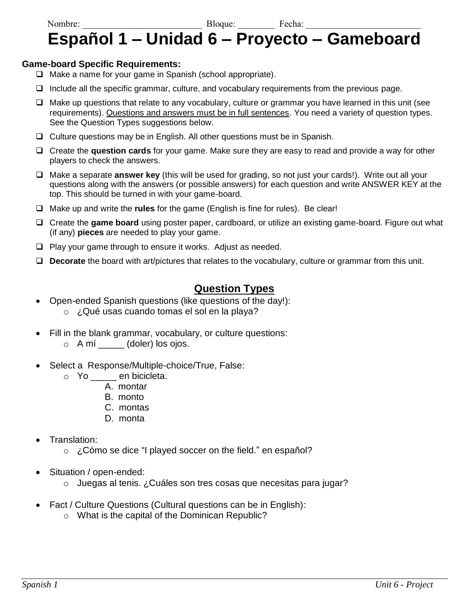# Nombre: \_\_\_\_\_\_\_\_\_\_\_\_\_\_\_\_\_\_\_\_\_\_\_\_\_\_ Bloque: \_\_\_\_\_\_\_\_ Fecha: \_\_\_\_\_\_\_\_\_\_\_\_\_\_\_\_\_\_\_\_\_\_\_\_\_ **Español 1 – Unidad 6 – Proyecto – Gameboard**

#### **Game-board Specific Requirements:**

- ❑ Make a name for your game in Spanish (school appropriate).
- ❑ Include all the specific grammar, culture, and vocabulary requirements from the previous page.
- ❑ Make up questions that relate to any vocabulary, culture or grammar you have learned in this unit (see requirements). Questions and answers must be in full sentences. You need a variety of question types. See the Question Types suggestions below.
- ❑ Culture questions may be in English. All other questions must be in Spanish.
- ❑ Create the **question cards** for your game. Make sure they are easy to read and provide a way for other players to check the answers.
- ❑ Make a separate **answer key** (this will be used for grading, so not just your cards!). Write out all your questions along with the answers (or possible answers) for each question and write ANSWER KEY at the top. This should be turned in with your game-board.
- ❑ Make up and write the **rules** for the game (English is fine for rules). Be clear!
- ❑ Create the **game board** using poster paper, cardboard, or utilize an existing game-board. Figure out what (if any) **pieces** are needed to play your game.
- ❑ Play your game through to ensure it works. Adjust as needed.
- ❑ **Decorate** the board with art/pictures that relates to the vocabulary, culture or grammar from this unit.

### **Question Types**

- Open-ended Spanish questions (like questions of the day!): o ¿Qué usas cuando tomas el sol en la playa?
- Fill in the blank grammar, vocabulary, or culture questions:
	- $\circ$  A mí  $\_\_\_\_\_$  (doler) los ojos.
- Select a Response/Multiple-choice/True, False:
	- o Yo \_\_\_\_\_ en bicicleta.
		- A. montar
		- B. monto
		- C. montas
		- D. monta
- Translation:
	- o ¿Cómo se dice "I played soccer on the field." en español?
- Situation / open-ended:
	- o Juegas al tenis. ¿Cuáles son tres cosas que necesitas para jugar?
- Fact / Culture Questions (Cultural questions can be in English):
	- o What is the capital of the Dominican Republic?